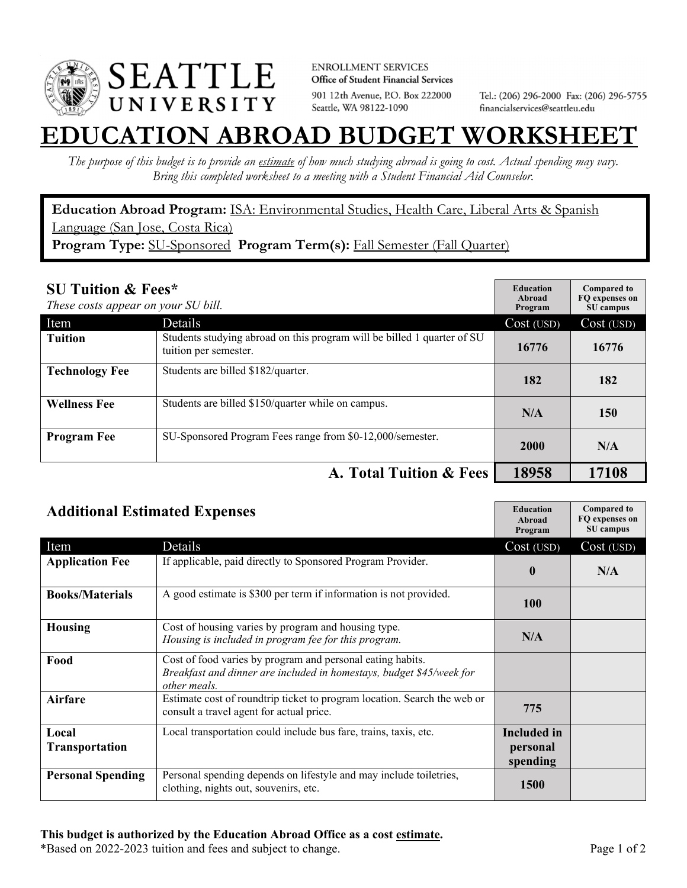

**ENROLLMENT SERVICES** Office of Student Financial Services 901 12th Avenue, P.O. Box 222000 Seattle, WA 98122-1090

Tel.: (206) 296-2000 Fax: (206) 296-5755 financialservices@seattleu.edu

## **EATION ABROAD BUDGET WORKSHEE**

*The purpose of this budget is to provide an estimate of how much studying abroad is going to cost. Actual spending may vary. Bring this completed worksheet to a meeting with a Student Financial Aid Counselor.* 

**Education Abroad Program:** ISA: Environmental Studies, Health Care, Liberal Arts & Spanish Language (San Jose, Costa Rica) **Program Type:** SU-Sponsored **Program Term(s):** Fall Semester (Fall Quarter)

| <b>SU Tuition &amp; Fees*</b><br>These costs appear on your SU bill. |                                                                                                  | <b>Education</b><br>Abroad<br>Program | <b>Compared to</b><br>FO expenses on<br>SU campus |
|----------------------------------------------------------------------|--------------------------------------------------------------------------------------------------|---------------------------------------|---------------------------------------------------|
| Item                                                                 | <b>Details</b>                                                                                   | Cost (USD)                            | Cost (USD)                                        |
| <b>Tuition</b>                                                       | Students studying abroad on this program will be billed 1 quarter of SU<br>tuition per semester. | 16776                                 | 16776                                             |
| <b>Technology Fee</b>                                                | Students are billed \$182/quarter.                                                               | 182                                   | 182                                               |
| <b>Wellness Fee</b>                                                  | Students are billed \$150/quarter while on campus.                                               | N/A                                   | 150                                               |
| <b>Program Fee</b>                                                   | SU-Sponsored Program Fees range from \$0-12,000/semester.                                        | 2000                                  | N/A                                               |
|                                                                      | A. Total Tuition & Fees                                                                          | 18958                                 | 17108                                             |

| <b>Additional Estimated Expenses</b> |                                                                                                                                                    | <b>Education</b><br>Abroad<br>Program      | <b>Compared to</b><br>FQ expenses on<br>SU campus |
|--------------------------------------|----------------------------------------------------------------------------------------------------------------------------------------------------|--------------------------------------------|---------------------------------------------------|
| Item                                 | Details                                                                                                                                            | Cost (USD)                                 | Cost (USD)                                        |
| <b>Application Fee</b>               | If applicable, paid directly to Sponsored Program Provider.                                                                                        | $\mathbf{0}$                               | N/A                                               |
| <b>Books/Materials</b>               | A good estimate is \$300 per term if information is not provided.                                                                                  | <b>100</b>                                 |                                                   |
| <b>Housing</b>                       | Cost of housing varies by program and housing type.<br>Housing is included in program fee for this program.                                        | N/A                                        |                                                   |
| Food                                 | Cost of food varies by program and personal eating habits.<br>Breakfast and dinner are included in homestays, budget \$45/week for<br>other meals. |                                            |                                                   |
| <b>Airfare</b>                       | Estimate cost of roundtrip ticket to program location. Search the web or<br>consult a travel agent for actual price.                               | 775                                        |                                                   |
| Local<br><b>Transportation</b>       | Local transportation could include bus fare, trains, taxis, etc.                                                                                   | <b>Included</b> in<br>personal<br>spending |                                                   |
| <b>Personal Spending</b>             | Personal spending depends on lifestyle and may include toiletries,<br>clothing, nights out, souvenirs, etc.                                        | <b>1500</b>                                |                                                   |

\*Based on 2022-2023 tuition and fees and subject to change. Page 1 of 2